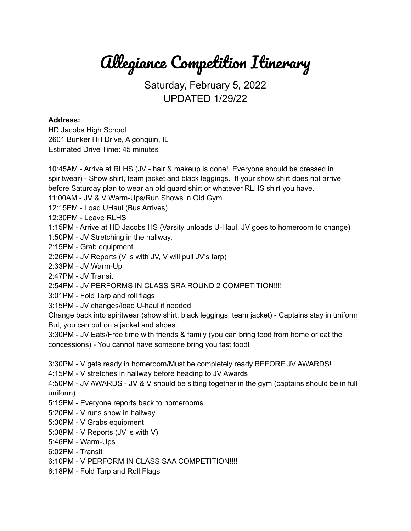Allegiance Competition Itinerary

## Saturday, February 5, 2022 UPDATED 1/29/22

## **Address:**

HD Jacobs High School 2601 Bunker Hill Drive, Algonquin, IL Estimated Drive Time: 45 minutes

10:45AM - Arrive at RLHS (JV - hair & makeup is done! Everyone should be dressed in spiritwear) - Show shirt, team jacket and black leggings. If your show shirt does not arrive before Saturday plan to wear an old guard shirt or whatever RLHS shirt you have. 11:00AM - JV & V Warm-Ups/Run Shows in Old Gym 12:15PM - Load UHaul (Bus Arrives) 12:30PM - Leave RLHS 1:15PM - Arrive at HD Jacobs HS (Varsity unloads U-Haul, JV goes to homeroom to change) 1:50PM - JV Stretching in the hallway. 2:15PM - Grab equipment. 2:26PM - JV Reports (V is with JV, V will pull JV's tarp) 2:33PM - JV Warm-Up 2:47PM - JV Transit 2:54PM - JV PERFORMS IN CLASS SRA ROUND 2 COMPETITION!!!! 3:01PM - Fold Tarp and roll flags 3:15PM - JV changes/load U-haul if needed Change back into spiritwear (show shirt, black leggings, team jacket) - Captains stay in uniform But, you can put on a jacket and shoes. 3:30PM - JV Eats/Free time with friends & family (you can bring food from home or eat the concessions) - You cannot have someone bring you fast food! 3:30PM - V gets ready in homeroom/Must be completely ready BEFORE JV AWARDS! 4:15PM - V stretches in hallway before heading to JV Awards 4:50PM - JV AWARDS - JV & V should be sitting together in the gym (captains should be in full uniform)

- 5:15PM Everyone reports back to homerooms.
- 5:20PM V runs show in hallway
- 5:30PM V Grabs equipment
- 5:38PM V Reports (JV is with V)
- 5:46PM Warm-Ups
- 6:02PM Transit
- 6:10PM V PERFORM IN CLASS SAA COMPETITION!!!!
- 6:18PM Fold Tarp and Roll Flags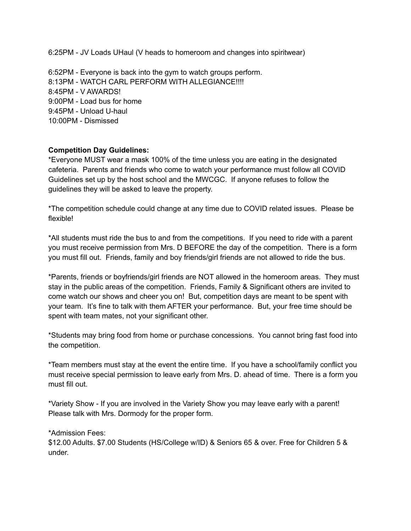6:25PM - JV Loads UHaul (V heads to homeroom and changes into spiritwear)

6:52PM - Everyone is back into the gym to watch groups perform. 8:13PM - WATCH CARL PERFORM WITH ALLEGIANCE!!!! 8:45PM - V AWARDS! 9:00PM - Load bus for home 9:45PM - Unload U-haul 10:00PM - Dismissed

## **Competition Day Guidelines:**

\*Everyone MUST wear a mask 100% of the time unless you are eating in the designated cafeteria. Parents and friends who come to watch your performance must follow all COVID Guidelines set up by the host school and the MWCGC. If anyone refuses to follow the guidelines they will be asked to leave the property.

\*The competition schedule could change at any time due to COVID related issues. Please be flexible!

\*All students must ride the bus to and from the competitions. If you need to ride with a parent you must receive permission from Mrs. D BEFORE the day of the competition. There is a form you must fill out. Friends, family and boy friends/girl friends are not allowed to ride the bus.

\*Parents, friends or boyfriends/girl friends are NOT allowed in the homeroom areas. They must stay in the public areas of the competition. Friends, Family & Significant others are invited to come watch our shows and cheer you on! But, competition days are meant to be spent with your team. It's fine to talk with them AFTER your performance. But, your free time should be spent with team mates, not your significant other.

\*Students may bring food from home or purchase concessions. You cannot bring fast food into the competition.

\*Team members must stay at the event the entire time. If you have a school/family conflict you must receive special permission to leave early from Mrs. D. ahead of time. There is a form you must fill out.

\*Variety Show - If you are involved in the Variety Show you may leave early with a parent! Please talk with Mrs. Dormody for the proper form.

\*Admission Fees:

\$12.00 Adults. \$7.00 Students (HS/College w/ID) & Seniors 65 & over. Free for Children 5 & under.